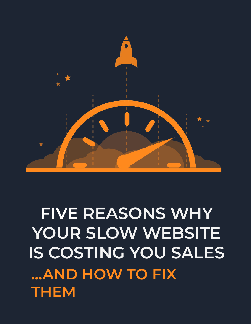### **FIVE REASONS WHY YOUR SLOW WEBSITE IS COSTING YOU SALES ...AND HOW TO FIX THEM**

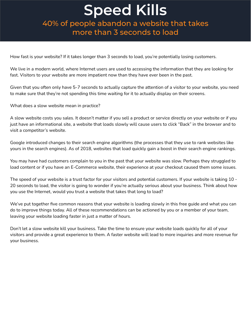#### **Speed Kills**

40% of people abandon a website that takes more than 3 seconds to load

How fast is your website? If it takes longer than 3 seconds to load, you're potentially losing customers.

We live in a modern world, where Internet users are used to accessing the information that they are looking for fast. Visitors to your website are more impatient now than they have ever been in the past.

Given that you often only have 5-7 seconds to actually capture the attention of a visitor to your website, you need to make sure that they're not spending this time waiting for it to actually display on their screens.

What does a slow website mean in practice?

A slow website costs you sales. It doesn't matter if you sell a product or service directly on your website or if you just have an informational site, a website that loads slowly will cause users to click "Back" in the browser and to visit a competitor's website.

Google introduced changes to their search engine algorithms (the processes that they use to rank websites like yours in the search engines). As of 2018, websites that load quickly gain a boost in their search engine rankings.

You may have had customers complain to you in the past that your website was slow. Perhaps they struggled to load content or if you have an E-Commerce website, their experience at your checkout caused them some issues.

The speed of your website is a trust factor for your visitors and potential customers. If your website is taking 10 - 20 seconds to load, the visitor is going to wonder if you're actually serious about your business. Think about how you use the Internet, would you trust a website that takes that long to load?

We've put together five common reasons that your website is loading slowly in this free guide and what you can do to improve things today. All of these recommendations can be actioned by you or a member of your team, leaving your website loading faster in just a matter of hours.

Don't let a slow website kill your business. Take the time to ensure your website loads quickly for all of your visitors and provide a great experience to them. A faster website will lead to more inquiries and more revenue for your business.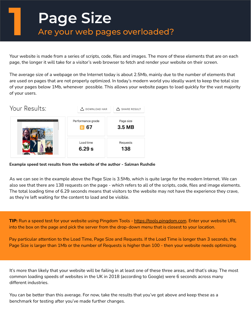## **Page Size**<br>Are your web pages overloaded?

Your website is made from a series of scripts, code, files and images. The more of these elements that are on each page, the longer it will take for a visitor's web browser to fetch and render your website on their screen.

The average size of a webpage on the Internet today is about 2.5Mb, mainly due to the number of elements that are used on pages that are not properly optimized. In today's modern world you ideally want to keep the total size of your pages below 1Mb, whenever possible. This allows your website pages to load quickly for the vast majority of your users.



**Example speed test results from the website of the author - Salman Rushdie**

As we can see in the example above the Page Size is 3.5Mb, which is quite large for the modern Internet. We can also see that there are 138 requests on the page - which refers to all of the scripts, code, files and image elements. The total loading time of 6.29 seconds means that visitors to the website may not have the experience they crave, as they're left waiting for the content to load and be visible.

**TIP:** Run a speed test for your website using Pingdom Tools - [https://tools.pingdom.com.](https://tools.pingdom.com/) Enter your website URL into the box on the page and pick the server from the drop-down menu that is closest to your location.

Pay particular attention to the Load Time, Page Size and Requests. If the Load Time is longer than 3 seconds, the Page Size is larger than 1Mb or the number of Requests is higher than 100 - then your website needs optimizing.

It's more than likely that your website will be failing in at least one of these three areas, and that's okay. The most common loading speeds of websites in the UK in 2018 (according to Google) were 6 seconds across many different industries.

You can be better than this average. For now, take the results that you've got above and keep these as a benchmark for testing after you've made further changes.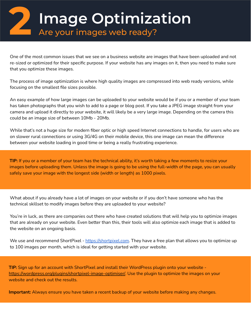**2 Image Optimization** Are your images web ready?

One of the most common issues that we see on a business website are images that have been uploaded and not re-sized or optimized for their specific purpose. If your website has any images on it, then you need to make sure that you optimize these images.

The process of image optimization is where high quality images are compressed into web ready versions, while focusing on the smallest file sizes possible.

An easy example of how large images can be uploaded to your website would be if you or a member of your team has taken photographs that you wish to add to a page or blog post. If you take a JPEG image straight from your camera and upload it directly to your website, it will likely be a very large image. Depending on the camera this could be an image size of between 10Mb - 20Mb.

While that's not a huge size for modern fiber optic or high speed Internet connections to handle, for users who are on slower rural connections or using 3G/4G on their mobile device, this one image can mean the difference between your website loading in good time or being a really frustrating experience.

**TIP:** If you or a member of your team has the technical ability, it's worth taking a few moments to resize your images before uploading them. Unless the image is going to be using the full-width of the page, you can usually safely save your image with the longest side (width or length) as 1000 pixels.

What about if you already have a lot of images on your website or if you don't have someone who has the technical skillset to modify images before they are uploaded to your website?

You're in luck, as there are companies out there who have created solutions that will help you to optimize images that are already on your website. Even better than this, their tools will also optimize each image that is added to the website on an ongoing basis.

We use and recommend ShortPixel - [https://shortpixel.com.](https://shortpixel.com/) They have a free plan that allows you to optimize up to 100 images per month, which is ideal for getting started with your website.

**TIP:** Sign up for an account with ShortPixel and install their WordPress plugin onto your website [https://wordpress.org/plugins/shortpixel-image-optimiser/.](https://wordpress.org/plugins/shortpixel-image-optimiser/) Use the plugin to optimize the images on your website and check out the results.

**Important:** Always ensure you have taken a recent backup of your website before making any changes.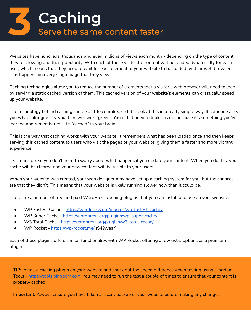

Websites have hundreds, thousands and even millions of views each month - depending on the type of content they're showing and their popularity. With each of these visits, the content will be loaded dynamically for each user, which means that they need to wait for each element of your website to be loaded by their web browser. This happens on every single page that they view.

Caching technologies allow you to reduce the number of elements that a visitor's web browser will need to load by serving a static cached version of them. This cached version of your website's elements can drastically speed up your website.

The technology behind caching can be a little complex, so let's look at this in a really simple way. If someone asks you what color grass is, you'll answer with "green". You didn't need to look this up, because it's something you've learned and remembered... it's "cached" in your brain.

This is the way that caching works with your website. It remembers what has been loaded once and then keeps serving this cached content to users who visit the pages of your website, giving them a faster and more vibrant experience.

It's smart too, so you don't need to worry about what happens if you update your content. When you do this, your cache will be cleared and your new content will be visible to your users.

When your website was created, your web designer may have set up a caching system for you, but the chances are that they didn't. This means that your website is likely running slower now than it could be.

There are a number of free and paid WordPress caching plugins that you can install and use on your website:

- WP Fastest Cache -<https://wordpress.org/plugins/wp-fastest-cache/>
- WP Super Cache <https://wordpress.org/plugins/wp-super-cache/>
- W3 Total Cache <https://wordpress.org/plugins/w3-total-cache/>
- WP Rocket <https://wp-rocket.me/>(\$49/year)

Each of these plugins offers similar functionality, with WP Rocket offering a few extra options as a premium plugin.

**TIP:** Install a caching plugin on your website and check out the speed difference when testing using Pingdom Tools - [https://tools.pingdom.com.](https://tools.pingdom.com/) You may need to run the test a couple of times to ensure that your content is properly cached.

**Important:** Always ensure you have taken a recent backup of your website before making any changes.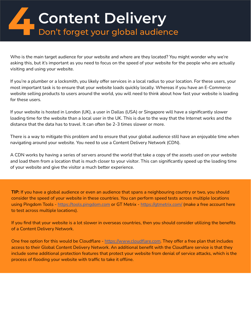## **4 Content Delivery**<br> **1 Don't forget your global audience**

Who is the main target audience for your website and where are they located? You might wonder why we're asking this, but it's important as you need to focus on the speed of your website for the people who are actually visiting and using your website.

If you're a plumber or a locksmith, you likely offer services in a local radius to your location. For these users, your most important task is to ensure that your website loads quickly locally. Whereas if you have an E-Commerce website selling products to users around the world, you will need to think about how fast your website is loading for these users.

If your website is hosted in London (UK), a user in Dallas (USA) or Singapore will have a significantly slower loading time for the website than a local user in the UK. This is due to the way that the Internet works and the distance that the data has to travel. It can often be 2-3 times slower or more.

There is a way to mitigate this problem and to ensure that your global audience still have an enjoyable time when navigating around your website. You need to use a Content Delivery Network (CDN).

A CDN works by having a series of servers around the world that take a copy of the assets used on your website and load them from a location that is much closer to your visitor. This can significantly speed up the loading time of your website and give the visitor a much better experience.

**TIP:** If you have a global audience or even an audience that spans a neighbouring country or two, you should consider the speed of your website in these countries. You can perform speed tests across multiple locations using Pingdom Tools - [https://tools.pingdom.com](https://tools.pingdom.com/) or GT Metrix -<https://gtmetrix.com/>(make a free account here to test across multiple locations).

If you find that your website is a lot slower in overseas countries, then you should consider utilizing the benefits of a Content Delivery Network.

One free option for this would be Cloudflare - [https://www.cloudflare.com.](https://www.cloudflare.com/) They offer a free plan that includes access to their Global Content Delivery Network. An additional benefit with the Cloudflare service is that they include some additional protection features that protect your website from denial of service attacks, which is the process of flooding your website with traffic to take it offline.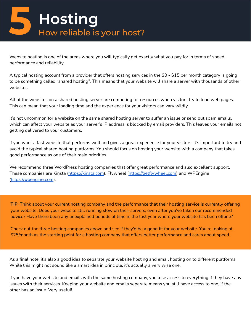# **Hosting**<br>How reliable is your host?

Website hosting is one of the areas where you will typically get exactly what you pay for in terms of speed, performance and reliability.

A typical hosting account from a provider that offers hosting services in the \$0 - \$15 per month category is going to be something called "shared hosting". This means that your website will share a server with thousands of other websites.

All of the websites on a shared hosting server are competing for resources when visitors try to load web pages. This can mean that your loading time and the experience for your visitors can vary wildly.

It's not uncommon for a website on the same shared hosting server to suffer an issue or send out spam emails, which can affect your website as your server's IP address is blocked by email providers. This leaves your emails not getting delivered to your customers.

If you want a fast website that performs well and gives a great experience for your visitors, it's important to try and avoid the typical shared hosting platforms. You should focus on hosting your website with a company that takes good performance as one of their main priorities.

We recommend three WordPress hosting companies that offer great performance and also excellent support. These companies are Kinsta [\(https://kinsta.com](https://kinsta.com/)), Flywheel [\(https://getflywheel.com\)](https://getflywheel.com/) and WPEngine ([https://wpengine.com](https://wpengine.com/)).

**TIP:** Think about your current hosting company and the performance that their hosting service is currently offering your website. Does your website still running slow on their servers, even after you've taken our recommended advice? Have there been any unexplained periods of time in the last year where your website has been offline?

Check out the three hosting companies above and see if they'd be a good fit for your website. You're looking at \$25/month as the starting point for a hosting company that offers better performance and cares about speed.

As a final note, it's also a good idea to separate your website hosting and email hosting on to different platforms. While this might not sound like a smart idea in principle, it's actually a very wise one.

If you have your website and emails with the same hosting company, you lose access to everything if they have any issues with their services. Keeping your website and emails separate means you still have access to one, if the other has an issue. Very useful!